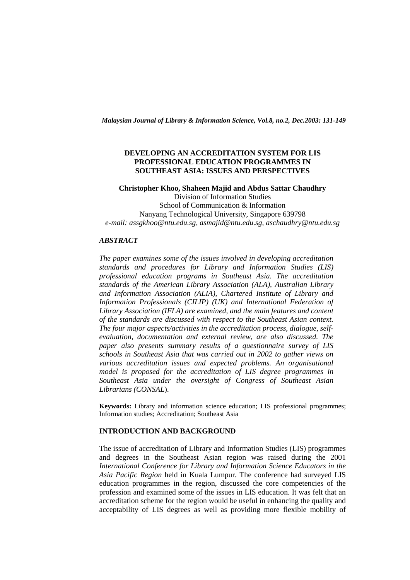*Malaysian Journal of Library & Information Science, Vol.8, no.2, Dec.2003: 131-149* 

## **DEVELOPING AN ACCREDITATION SYSTEM FOR LIS PROFESSIONAL EDUCATION PROGRAMMES IN SOUTHEAST ASIA: ISSUES AND PERSPECTIVES**

**Christopher Khoo, Shaheen Majid and Abdus Sattar Chaudhry**  Division of Information Studies School of Communication & Information Nanyang Technological University, Singapore 639798 *e-mail: assgkhoo@ntu.edu.sg, asmajid@ntu.edu.sg, aschaudhry@ntu.edu.sg* 

## *ABSTRACT*

*The paper examines some of the issues involved in developing accreditation standards and procedures for Library and Information Studies (LIS) professional education programs in Southeast Asia. The accreditation standards of the American Library Association (ALA), Australian Library and Information Association (ALIA), Chartered Institute of Library and Information Professionals (CILIP) (UK) and International Federation of Library Association (IFLA) are examined, and the main features and content of the standards are discussed with respect to the Southeast Asian context. The four major aspects/activities in the accreditation process, dialogue, selfevaluation, documentation and external review, are also discussed. The paper also presents summary results of a questionnaire survey of LIS schools in Southeast Asia that was carried out in 2002 to gather views on various accreditation issues and expected problems. An organisational model is proposed for the accreditation of LIS degree programmes in Southeast Asia under the oversight of Congress of Southeast Asian Librarians (CONSAL*).

**Keywords:** Library and information science education; LIS professional programmes; Information studies; Accreditation; Southeast Asia

#### **INTRODUCTION AND BACKGROUND**

The issue of accreditation of Library and Information Studies (LIS) programmes and degrees in the Southeast Asian region was raised during the 2001 *International Conference for Library and Information Science Educators in the Asia Pacific Region* held in Kuala Lumpur. The conference had surveyed LIS education programmes in the region, discussed the core competencies of the profession and examined some of the issues in LIS education. It was felt that an accreditation scheme for the region would be useful in enhancing the quality and acceptability of LIS degrees as well as providing more flexible mobility of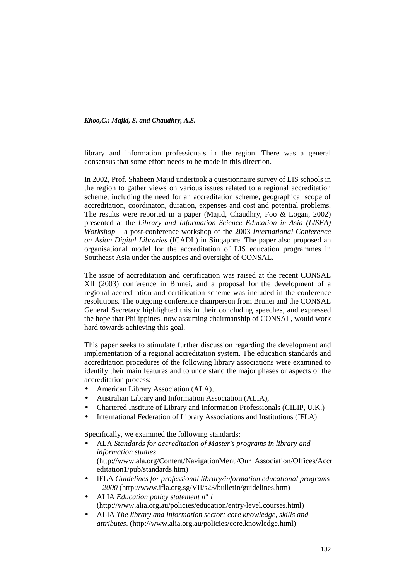library and information professionals in the region. There was a general consensus that some effort needs to be made in this direction.

In 2002, Prof. Shaheen Majid undertook a questionnaire survey of LIS schools in the region to gather views on various issues related to a regional accreditation scheme, including the need for an accreditation scheme, geographical scope of accreditation, coordinaton, duration, expenses and cost and potential problems. The results were reported in a paper (Majid, Chaudhry, Foo & Logan, 2002) presented at the *Library and Information Science Education in Asia (LISEA) Workshop* – a post-conference workshop of the 2003 *International Conference on Asian Digital Libraries* (ICADL) in Singapore. The paper also proposed an organisational model for the accreditation of LIS education programmes in Southeast Asia under the auspices and oversight of CONSAL.

The issue of accreditation and certification was raised at the recent CONSAL XII (2003) conference in Brunei, and a proposal for the development of a regional accreditation and certification scheme was included in the conference resolutions. The outgoing conference chairperson from Brunei and the CONSAL General Secretary highlighted this in their concluding speeches, and expressed the hope that Philippines, now assuming chairmanship of CONSAL, would work hard towards achieving this goal.

This paper seeks to stimulate further discussion regarding the development and implementation of a regional accreditation system. The education standards and accreditation procedures of the following library associations were examined to identify their main features and to understand the major phases or aspects of the accreditation process:

- American Library Association (ALA),
- Australian Library and Information Association (ALIA),
- Chartered Institute of Library and Information Professionals (CILIP, U.K.)
- International Federation of Library Associations and Institutions (IFLA)

Specifically, we examined the following standards:

- ALA *Standards for accreditation of Master's programs in library and information studies* (http://www.ala.org/Content/NavigationMenu/Our\_Association/Offices/Accr editation1/pub/standards.htm)
- IFLA *Guidelines for professional library/information educational programs – 2000* (http://www.ifla.org.sg/VII/s23/bulletin/guidelines.htm)
- ALIA *Education policy statement nº 1* (http://www.alia.org.au/policies/education/entry-level.courses.html)
- ALIA *The library and information sector: core knowledge, skills and attributes*. (http://www.alia.org.au/policies/core.knowledge.html)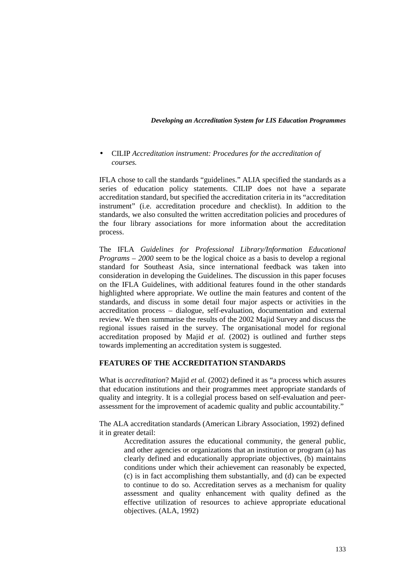• CILIP *Accreditation instrument: Procedures for the accreditation of courses.*

IFLA chose to call the standards "guidelines." ALIA specified the standards as a series of education policy statements. CILIP does not have a separate accreditation standard, but specified the accreditation criteria in its "accreditation instrument" (i.e. accreditation procedure and checklist). In addition to the standards, we also consulted the written accreditation policies and procedures of the four library associations for more information about the accreditation process.

The IFLA *Guidelines for Professional Library/Information Educational Programs – 2000* seem to be the logical choice as a basis to develop a regional standard for Southeast Asia, since international feedback was taken into consideration in developing the Guidelines. The discussion in this paper focuses on the IFLA Guidelines, with additional features found in the other standards highlighted where appropriate. We outline the main features and content of the standards, and discuss in some detail four major aspects or activities in the accreditation process – dialogue, self-evaluation, documentation and external review. We then summarise the results of the 2002 Majid Survey and discuss the regional issues raised in the survey. The organisational model for regional accreditation proposed by Majid *et al.* (2002) is outlined and further steps towards implementing an accreditation system is suggested.

## **FEATURES OF THE ACCREDITATION STANDARDS**

What is *accreditation*? Majid *et al.* (2002) defined it as "a process which assures that education institutions and their programmes meet appropriate standards of quality and integrity. It is a collegial process based on self-evaluation and peerassessment for the improvement of academic quality and public accountability."

The ALA accreditation standards (American Library Association, 1992) defined it in greater detail:

> Accreditation assures the educational community, the general public, and other agencies or organizations that an institution or program (a) has clearly defined and educationally appropriate objectives, (b) maintains conditions under which their achievement can reasonably be expected, (c) is in fact accomplishing them substantially, and (d) can be expected to continue to do so. Accreditation serves as a mechanism for quality assessment and quality enhancement with quality defined as the effective utilization of resources to achieve appropriate educational objectives. (ALA, 1992)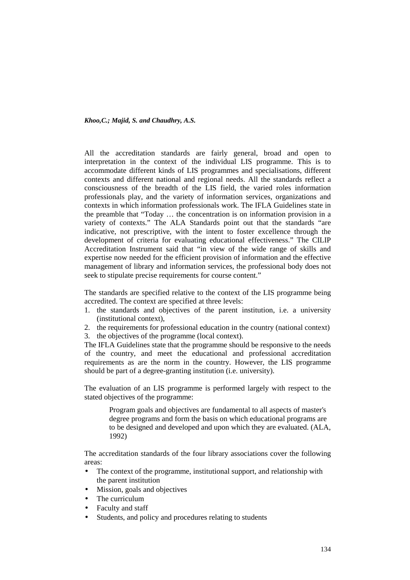All the accreditation standards are fairly general, broad and open to interpretation in the context of the individual LIS programme. This is to accommodate different kinds of LIS programmes and specialisations, different contexts and different national and regional needs. All the standards reflect a consciousness of the breadth of the LIS field, the varied roles information professionals play, and the variety of information services, organizations and contexts in which information professionals work. The IFLA Guidelines state in the preamble that "Today … the concentration is on information provision in a variety of contexts." The ALA Standards point out that the standards "are indicative, not prescriptive, with the intent to foster excellence through the development of criteria for evaluating educational effectiveness." The CILIP Accreditation Instrument said that "in view of the wide range of skills and expertise now needed for the efficient provision of information and the effective management of library and information services, the professional body does not seek to stipulate precise requirements for course content."

The standards are specified relative to the context of the LIS programme being accredited. The context are specified at three levels:

- 1. the standards and objectives of the parent institution, i.e. a university (institutional context),
- 2. the requirements for professional education in the country (national context)
- 3. the objectives of the programme (local context).

The IFLA Guidelines state that the programme should be responsive to the needs of the country, and meet the educational and professional accreditation requirements as are the norm in the country. However, the LIS programme should be part of a degree-granting institution (i.e. university).

The evaluation of an LIS programme is performed largely with respect to the stated objectives of the programme:

Program goals and objectives are fundamental to all aspects of master's degree programs and form the basis on which educational programs are to be designed and developed and upon which they are evaluated. (ALA, 1992)

The accreditation standards of the four library associations cover the following areas:

- The context of the programme, institutional support, and relationship with the parent institution
- Mission, goals and objectives
- The curriculum
- Faculty and staff
- Students, and policy and procedures relating to students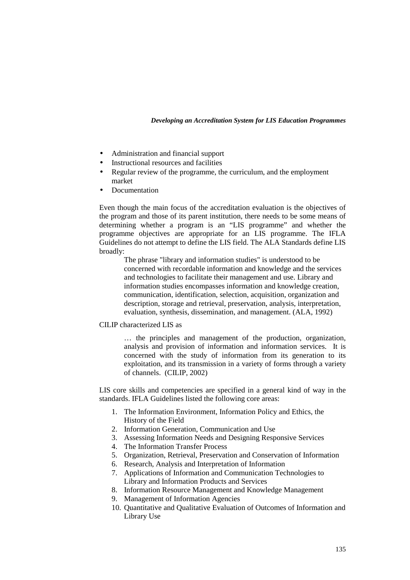- Administration and financial support
- Instructional resources and facilities
- Regular review of the programme, the curriculum, and the employment market
- Documentation

Even though the main focus of the accreditation evaluation is the objectives of the program and those of its parent institution, there needs to be some means of determining whether a program is an "LIS programme" and whether the programme objectives are appropriate for an LIS programme. The IFLA Guidelines do not attempt to define the LIS field. The ALA Standards define LIS broadly:

> The phrase "library and information studies" is understood to be concerned with recordable information and knowledge and the services and technologies to facilitate their management and use. Library and information studies encompasses information and knowledge creation, communication, identification, selection, acquisition, organization and description, storage and retrieval, preservation, analysis, interpretation, evaluation, synthesis, dissemination, and management. (ALA, 1992)

CILIP characterized LIS as

… the principles and management of the production, organization, analysis and provision of information and information services. It is concerned with the study of information from its generation to its exploitation, and its transmission in a variety of forms through a variety of channels. (CILIP, 2002)

LIS core skills and competencies are specified in a general kind of way in the standards. IFLA Guidelines listed the following core areas:

- 1. The Information Environment, Information Policy and Ethics, the History of the Field
- 2. Information Generation, Communication and Use
- 3. Assessing Information Needs and Designing Responsive Services
- 4. The Information Transfer Process
- 5. Organization, Retrieval, Preservation and Conservation of Information
- 6. Research, Analysis and Interpretation of Information
- 7. Applications of Information and Communication Technologies to Library and Information Products and Services
- 8. Information Resource Management and Knowledge Management
- 9. Management of Information Agencies
- 10. Quantitative and Qualitative Evaluation of Outcomes of Information and Library Use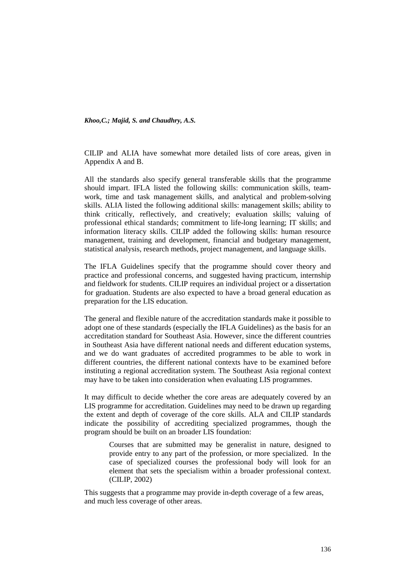CILIP and ALIA have somewhat more detailed lists of core areas, given in Appendix A and B.

All the standards also specify general transferable skills that the programme should impart. IFLA listed the following skills: communication skills, teamwork, time and task management skills, and analytical and problem-solving skills. ALIA listed the following additional skills: management skills; ability to think critically, reflectively, and creatively; evaluation skills; valuing of professional ethical standards; commitment to life-long learning; IT skills; and information literacy skills. CILIP added the following skills: human resource management, training and development, financial and budgetary management, statistical analysis, research methods, project management, and language skills.

The IFLA Guidelines specify that the programme should cover theory and practice and professional concerns, and suggested having practicum, internship and fieldwork for students. CILIP requires an individual project or a dissertation for graduation. Students are also expected to have a broad general education as preparation for the LIS education.

The general and flexible nature of the accreditation standards make it possible to adopt one of these standards (especially the IFLA Guidelines) as the basis for an accreditation standard for Southeast Asia. However, since the different countries in Southeast Asia have different national needs and different education systems, and we do want graduates of accredited programmes to be able to work in different countries, the different national contexts have to be examined before instituting a regional accreditation system. The Southeast Asia regional context may have to be taken into consideration when evaluating LIS programmes.

It may difficult to decide whether the core areas are adequately covered by an LIS programme for accreditation. Guidelines may need to be drawn up regarding the extent and depth of coverage of the core skills. ALA and CILIP standards indicate the possibility of accrediting specialized programmes, though the program should be built on an broader LIS foundation:

> Courses that are submitted may be generalist in nature, designed to provide entry to any part of the profession, or more specialized. In the case of specialized courses the professional body will look for an element that sets the specialism within a broader professional context. (CILIP, 2002)

This suggests that a programme may provide in-depth coverage of a few areas, and much less coverage of other areas.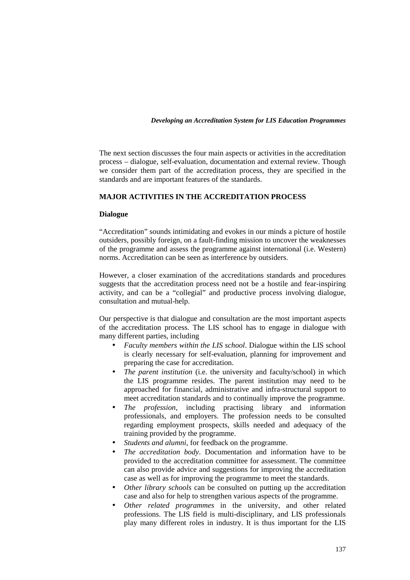The next section discusses the four main aspects or activities in the accreditation process – dialogue, self-evaluation, documentation and external review. Though we consider them part of the accreditation process, they are specified in the standards and are important features of the standards.

# **MAJOR ACTIVITIES IN THE ACCREDITATION PROCESS**

#### **Dialogue**

"Accreditation" sounds intimidating and evokes in our minds a picture of hostile outsiders, possibly foreign, on a fault-finding mission to uncover the weaknesses of the programme and assess the programme against international (i.e. Western) norms. Accreditation can be seen as interference by outsiders.

However, a closer examination of the accreditations standards and procedures suggests that the accreditation process need not be a hostile and fear-inspiring activity, and can be a "collegial" and productive process involving dialogue, consultation and mutual-help.

Our perspective is that dialogue and consultation are the most important aspects of the accreditation process. The LIS school has to engage in dialogue with many different parties, including

- *Faculty members within the LIS school*. Dialogue within the LIS school is clearly necessary for self-evaluation, planning for improvement and preparing the case for accreditation.
- *The parent institution* (i.e. the university and faculty/school) in which the LIS programme resides. The parent institution may need to be approached for financial, administrative and infra-structural support to meet accreditation standards and to continually improve the programme.
- *The profession*, including practising library and information professionals, and employers. The profession needs to be consulted regarding employment prospects, skills needed and adequacy of the training provided by the programme.
- *Students and alumni*, for feedback on the programme.
- *The accreditation body*. Documentation and information have to be provided to the accreditation committee for assessment. The committee can also provide advice and suggestions for improving the accreditation case as well as for improving the programme to meet the standards.
- *Other library schools* can be consulted on putting up the accreditation case and also for help to strengthen various aspects of the programme.
- *Other related programmes* in the university, and other related professions. The LIS field is multi-disciplinary, and LIS professionals play many different roles in industry. It is thus important for the LIS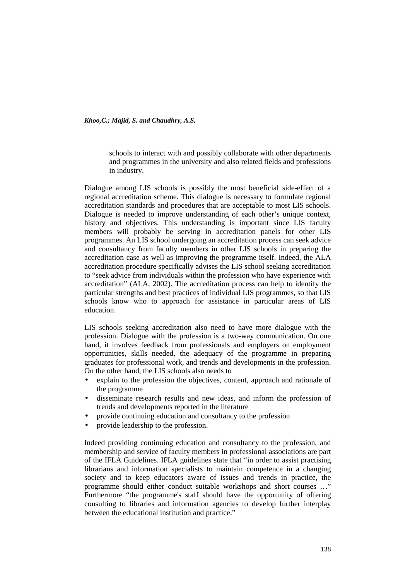schools to interact with and possibly collaborate with other departments and programmes in the university and also related fields and professions in industry.

Dialogue among LIS schools is possibly the most beneficial side-effect of a regional accreditation scheme. This dialogue is necessary to formulate regional accreditation standards and procedures that are acceptable to most LIS schools. Dialogue is needed to improve understanding of each other's unique context, history and objectives. This understanding is important since LIS faculty members will probably be serving in accreditation panels for other LIS programmes. An LIS school undergoing an accreditation process can seek advice and consultancy from faculty members in other LIS schools in preparing the accreditation case as well as improving the programme itself. Indeed, the ALA accreditation procedure specifically advises the LIS school seeking accreditation to "seek advice from individuals within the profession who have experience with accreditation" (ALA, 2002). The accreditation process can help to identify the particular strengths and best practices of individual LIS programmes, so that LIS schools know who to approach for assistance in particular areas of LIS education.

LIS schools seeking accreditation also need to have more dialogue with the profession. Dialogue with the profession is a two-way communication. On one hand, it involves feedback from professionals and employers on employment opportunities, skills needed, the adequacy of the programme in preparing graduates for professional work, and trends and developments in the profession. On the other hand, the LIS schools also needs to

- explain to the profession the objectives, content, approach and rationale of the programme
- disseminate research results and new ideas, and inform the profession of trends and developments reported in the literature
- provide continuing education and consultancy to the profession
- provide leadership to the profession.

Indeed providing continuing education and consultancy to the profession, and membership and service of faculty members in professional associations are part of the IFLA Guidelines. IFLA guidelines state that "in order to assist practising librarians and information specialists to maintain competence in a changing society and to keep educators aware of issues and trends in practice, the programme should either conduct suitable workshops and short courses …" Furthermore "the programme's staff should have the opportunity of offering consulting to libraries and information agencies to develop further interplay between the educational institution and practice."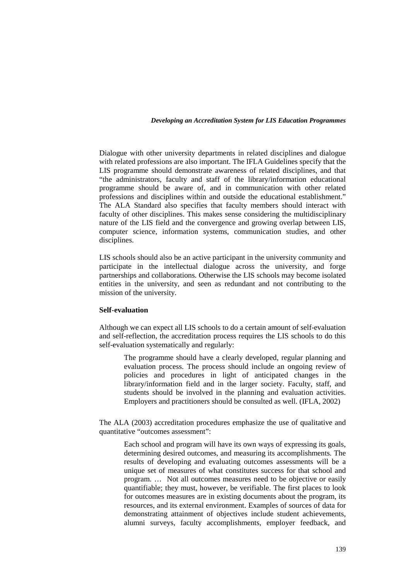Dialogue with other university departments in related disciplines and dialogue with related professions are also important. The IFLA Guidelines specify that the LIS programme should demonstrate awareness of related disciplines, and that "the administrators, faculty and staff of the library/information educational programme should be aware of, and in communication with other related professions and disciplines within and outside the educational establishment." The ALA Standard also specifies that faculty members should interact with faculty of other disciplines. This makes sense considering the multidisciplinary nature of the LIS field and the convergence and growing overlap between LIS, computer science, information systems, communication studies, and other disciplines.

LIS schools should also be an active participant in the university community and participate in the intellectual dialogue across the university, and forge partnerships and collaborations. Otherwise the LIS schools may become isolated entities in the university, and seen as redundant and not contributing to the mission of the university.

# **Self-evaluation**

Although we can expect all LIS schools to do a certain amount of self-evaluation and self-reflection, the accreditation process requires the LIS schools to do this self-evaluation systematically and regularly:

> The programme should have a clearly developed, regular planning and evaluation process. The process should include an ongoing review of policies and procedures in light of anticipated changes in the library/information field and in the larger society. Faculty, staff, and students should be involved in the planning and evaluation activities. Employers and practitioners should be consulted as well. (IFLA, 2002)

The ALA (2003) accreditation procedures emphasize the use of qualitative and quantitative "outcomes assessment":

> Each school and program will have its own ways of expressing its goals, determining desired outcomes, and measuring its accomplishments. The results of developing and evaluating outcomes assessments will be a unique set of measures of what constitutes success for that school and program. … Not all outcomes measures need to be objective or easily quantifiable; they must, however, be verifiable. The first places to look for outcomes measures are in existing documents about the program, its resources, and its external environment. Examples of sources of data for demonstrating attainment of objectives include student achievements, alumni surveys, faculty accomplishments, employer feedback, and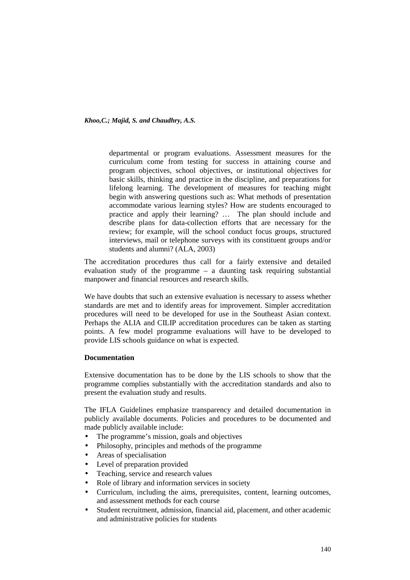departmental or program evaluations. Assessment measures for the curriculum come from testing for success in attaining course and program objectives, school objectives, or institutional objectives for basic skills, thinking and practice in the discipline, and preparations for lifelong learning. The development of measures for teaching might begin with answering questions such as: What methods of presentation accommodate various learning styles? How are students encouraged to practice and apply their learning? … The plan should include and describe plans for data-collection efforts that are necessary for the review; for example, will the school conduct focus groups, structured interviews, mail or telephone surveys with its constituent groups and/or students and alumni? (ALA, 2003)

The accreditation procedures thus call for a fairly extensive and detailed evaluation study of the programme – a daunting task requiring substantial manpower and financial resources and research skills.

We have doubts that such an extensive evaluation is necessary to assess whether standards are met and to identify areas for improvement. Simpler accreditation procedures will need to be developed for use in the Southeast Asian context. Perhaps the ALIA and CILIP accreditation procedures can be taken as starting points. A few model programme evaluations will have to be developed to provide LIS schools guidance on what is expected.

## **Documentation**

Extensive documentation has to be done by the LIS schools to show that the programme complies substantially with the accreditation standards and also to present the evaluation study and results.

The IFLA Guidelines emphasize transparency and detailed documentation in publicly available documents. Policies and procedures to be documented and made publicly available include:

- The programme's mission, goals and objectives
- Philosophy, principles and methods of the programme
- Areas of specialisation
- Level of preparation provided
- Teaching, service and research values
- Role of library and information services in society
- Curriculum, including the aims, prerequisites, content, learning outcomes, and assessment methods for each course
- Student recruitment, admission, financial aid, placement, and other academic and administrative policies for students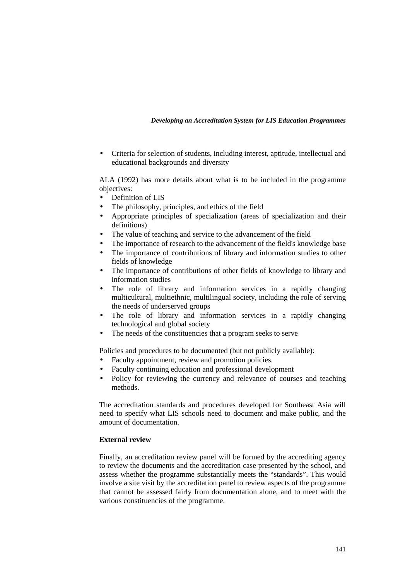• Criteria for selection of students, including interest, aptitude, intellectual and educational backgrounds and diversity

ALA (1992) has more details about what is to be included in the programme objectives:

- Definition of LIS
- The philosophy, principles, and ethics of the field
- Appropriate principles of specialization (areas of specialization and their definitions)
- The value of teaching and service to the advancement of the field
- The importance of research to the advancement of the field's knowledge base
- The importance of contributions of library and information studies to other fields of knowledge
- The importance of contributions of other fields of knowledge to library and information studies
- The role of library and information services in a rapidly changing multicultural, multiethnic, multilingual society, including the role of serving the needs of underserved groups
- The role of library and information services in a rapidly changing technological and global society
- The needs of the constituencies that a program seeks to serve

Policies and procedures to be documented (but not publicly available):

- Faculty appointment, review and promotion policies.
- Faculty continuing education and professional development
- Policy for reviewing the currency and relevance of courses and teaching methods.

The accreditation standards and procedures developed for Southeast Asia will need to specify what LIS schools need to document and make public, and the amount of documentation.

## **External review**

Finally, an accreditation review panel will be formed by the accrediting agency to review the documents and the accreditation case presented by the school, and assess whether the programme substantially meets the "standards". This would involve a site visit by the accreditation panel to review aspects of the programme that cannot be assessed fairly from documentation alone, and to meet with the various constituencies of the programme.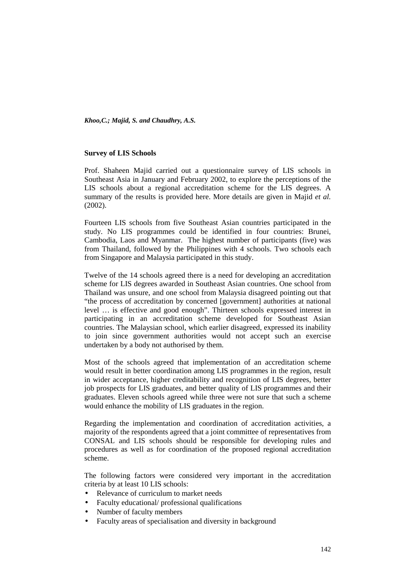#### **Survey of LIS Schools**

Prof. Shaheen Majid carried out a questionnaire survey of LIS schools in Southeast Asia in January and February 2002, to explore the perceptions of the LIS schools about a regional accreditation scheme for the LIS degrees. A summary of the results is provided here. More details are given in Majid *et al.* (2002).

Fourteen LIS schools from five Southeast Asian countries participated in the study. No LIS programmes could be identified in four countries: Brunei, Cambodia, Laos and Myanmar. The highest number of participants (five) was from Thailand, followed by the Philippines with 4 schools. Two schools each from Singapore and Malaysia participated in this study.

Twelve of the 14 schools agreed there is a need for developing an accreditation scheme for LIS degrees awarded in Southeast Asian countries. One school from Thailand was unsure, and one school from Malaysia disagreed pointing out that "the process of accreditation by concerned [government] authorities at national level … is effective and good enough". Thirteen schools expressed interest in participating in an accreditation scheme developed for Southeast Asian countries. The Malaysian school, which earlier disagreed, expressed its inability to join since government authorities would not accept such an exercise undertaken by a body not authorised by them.

Most of the schools agreed that implementation of an accreditation scheme would result in better coordination among LIS programmes in the region, result in wider acceptance, higher creditability and recognition of LIS degrees, better job prospects for LIS graduates, and better quality of LIS programmes and their graduates. Eleven schools agreed while three were not sure that such a scheme would enhance the mobility of LIS graduates in the region.

Regarding the implementation and coordination of accreditation activities, a majority of the respondents agreed that a joint committee of representatives from CONSAL and LIS schools should be responsible for developing rules and procedures as well as for coordination of the proposed regional accreditation scheme.

The following factors were considered very important in the accreditation criteria by at least 10 LIS schools:

- Relevance of curriculum to market needs
- Faculty educational/ professional qualifications
- Number of faculty members
- Faculty areas of specialisation and diversity in background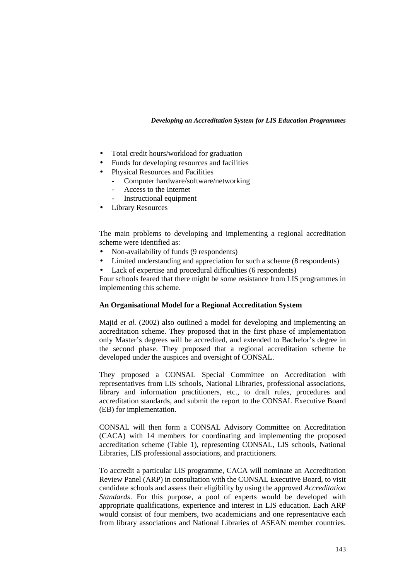- Total credit hours/workload for graduation
- Funds for developing resources and facilities
- Physical Resources and Facilities
	- Computer hardware/software/networking
	- Access to the Internet
	- Instructional equipment
- Library Resources

The main problems to developing and implementing a regional accreditation scheme were identified as:

- Non-availability of funds (9 respondents)
- Limited understanding and appreciation for such a scheme (8 respondents)
- Lack of expertise and procedural difficulties (6 respondents)

Four schools feared that there might be some resistance from LIS programmes in implementing this scheme.

## **An Organisational Model for a Regional Accreditation System**

Majid *et al.* (2002) also outlined a model for developing and implementing an accreditation scheme. They proposed that in the first phase of implementation only Master's degrees will be accredited, and extended to Bachelor's degree in the second phase. They proposed that a regional accreditation scheme be developed under the auspices and oversight of CONSAL.

They proposed a CONSAL Special Committee on Accreditation with representatives from LIS schools, National Libraries, professional associations, library and information practitioners, etc., to draft rules, procedures and accreditation standards, and submit the report to the CONSAL Executive Board (EB) for implementation.

CONSAL will then form a CONSAL Advisory Committee on Accreditation (CACA) with 14 members for coordinating and implementing the proposed accreditation scheme (Table 1), representing CONSAL, LIS schools, National Libraries, LIS professional associations, and practitioners.

To accredit a particular LIS programme, CACA will nominate an Accreditation Review Panel (ARP) in consultation with the CONSAL Executive Board, to visit candidate schools and assess their eligibility by using the approved *Accreditation Standards*. For this purpose, a pool of experts would be developed with appropriate qualifications, experience and interest in LIS education. Each ARP would consist of four members, two academicians and one representative each from library associations and National Libraries of ASEAN member countries.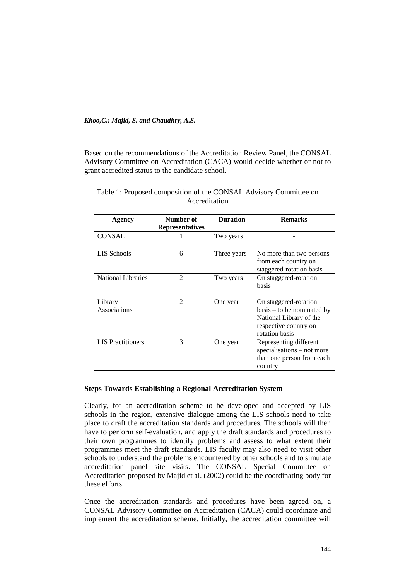Based on the recommendations of the Accreditation Review Panel, the CONSAL Advisory Committee on Accreditation (CACA) would decide whether or not to grant accredited status to the candidate school.

| Agency                    | Number of<br><b>Representatives</b> | <b>Duration</b> | <b>Remarks</b>                                                                                                              |
|---------------------------|-------------------------------------|-----------------|-----------------------------------------------------------------------------------------------------------------------------|
| <b>CONSAL</b>             |                                     | Two years       |                                                                                                                             |
| LIS Schools               | 6                                   | Three years     | No more than two persons<br>from each country on<br>staggered-rotation basis                                                |
| <b>National Libraries</b> | 2                                   | Two years       | On staggered-rotation<br>basis                                                                                              |
| Library<br>Associations   | $\mathfrak{D}$                      | One year        | On staggered-rotation<br>$basis - to be nominated by$<br>National Library of the<br>respective country on<br>rotation basis |
| <b>LIS</b> Practitioners  | 3                                   | One year        | Representing different<br>specialisations - not more<br>than one person from each<br>country                                |

Table 1: Proposed composition of the CONSAL Advisory Committee on Accreditation

# **Steps Towards Establishing a Regional Accreditation System**

Clearly, for an accreditation scheme to be developed and accepted by LIS schools in the region, extensive dialogue among the LIS schools need to take place to draft the accreditation standards and procedures. The schools will then have to perform self-evaluation, and apply the draft standards and procedures to their own programmes to identify problems and assess to what extent their programmes meet the draft standards. LIS faculty may also need to visit other schools to understand the problems encountered by other schools and to simulate accreditation panel site visits. The CONSAL Special Committee on Accreditation proposed by Majid et al. (2002) could be the coordinating body for these efforts.

Once the accreditation standards and procedures have been agreed on, a CONSAL Advisory Committee on Accreditation (CACA) could coordinate and implement the accreditation scheme. Initially, the accreditation committee will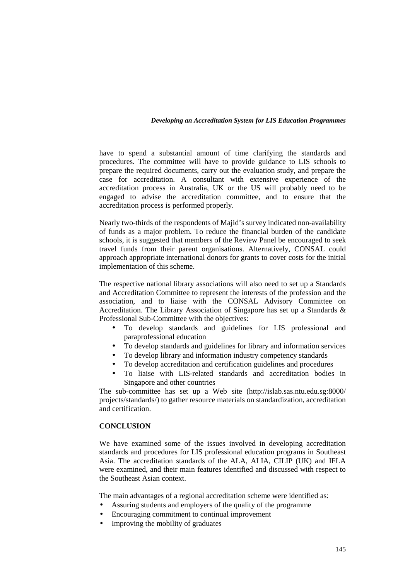have to spend a substantial amount of time clarifying the standards and procedures. The committee will have to provide guidance to LIS schools to prepare the required documents, carry out the evaluation study, and prepare the case for accreditation. A consultant with extensive experience of the accreditation process in Australia, UK or the US will probably need to be engaged to advise the accreditation committee, and to ensure that the accreditation process is performed properly.

Nearly two-thirds of the respondents of Majid's survey indicated non-availability of funds as a major problem. To reduce the financial burden of the candidate schools, it is suggested that members of the Review Panel be encouraged to seek travel funds from their parent organisations. Alternatively, CONSAL could approach appropriate international donors for grants to cover costs for the initial implementation of this scheme.

The respective national library associations will also need to set up a Standards and Accreditation Committee to represent the interests of the profession and the association, and to liaise with the CONSAL Advisory Committee on Accreditation. The Library Association of Singapore has set up a Standards & Professional Sub-Committee with the objectives:

- To develop standards and guidelines for LIS professional and paraprofessional education
- To develop standards and guidelines for library and information services
- To develop library and information industry competency standards
- To develop accreditation and certification guidelines and procedures
- To liaise with LIS-related standards and accreditation bodies in Singapore and other countries

The sub-committee has set up a Web site (http://islab.sas.ntu.edu.sg:8000/ projects/standards/) to gather resource materials on standardization, accreditation and certification.

## **CONCLUSION**

We have examined some of the issues involved in developing accreditation standards and procedures for LIS professional education programs in Southeast Asia. The accreditation standards of the ALA, ALIA, CILIP (UK) and IFLA were examined, and their main features identified and discussed with respect to the Southeast Asian context.

The main advantages of a regional accreditation scheme were identified as:

- Assuring students and employers of the quality of the programme
- Encouraging commitment to continual improvement
- Improving the mobility of graduates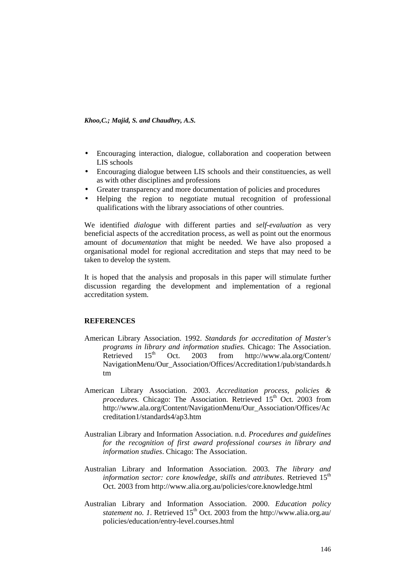- Encouraging interaction, dialogue, collaboration and cooperation between LIS schools
- Encouraging dialogue between LIS schools and their constituencies, as well as with other disciplines and professions
- Greater transparency and more documentation of policies and procedures
- Helping the region to negotiate mutual recognition of professional qualifications with the library associations of other countries.

We identified *dialogue* with different parties and *self-evaluation* as very beneficial aspects of the accreditation process, as well as point out the enormous amount of *documentation* that might be needed. We have also proposed a organisational model for regional accreditation and steps that may need to be taken to develop the system.

It is hoped that the analysis and proposals in this paper will stimulate further discussion regarding the development and implementation of a regional accreditation system.

## **REFERENCES**

- American Library Association. 1992. *Standards for accreditation of Master's programs in library and information studies.* Chicago: The Association.<br>Retrieved 15<sup>th</sup> Oct. 2003 from http://www.ala.org/Content/ Oct. 2003 from http://www.ala.org/Content/ NavigationMenu/Our\_Association/Offices/Accreditation1/pub/standards.h tm
- American Library Association. 2003. *Accreditation process, policies & procedures.* Chicago: The Association. Retrieved 15<sup>th</sup> Oct. 2003 from http://www.ala.org/Content/NavigationMenu/Our\_Association/Offices/Ac creditation1/standards4/ap3.htm
- Australian Library and Information Association. n.d. *Procedures and guidelines for the recognition of first award professional courses in library and information studies*. Chicago: The Association.
- Australian Library and Information Association. 2003. *The library and*  information sector: core knowledge, skills and attributes. Retrieved 15<sup>th</sup> Oct. 2003 from http://www.alia.org.au/policies/core.knowledge.html
- Australian Library and Information Association. 2000. *Education policy statement no. 1*. Retrieved  $15<sup>th</sup>$  Oct. 2003 from the http://www.alia.org.au/ policies/education/entry-level.courses.html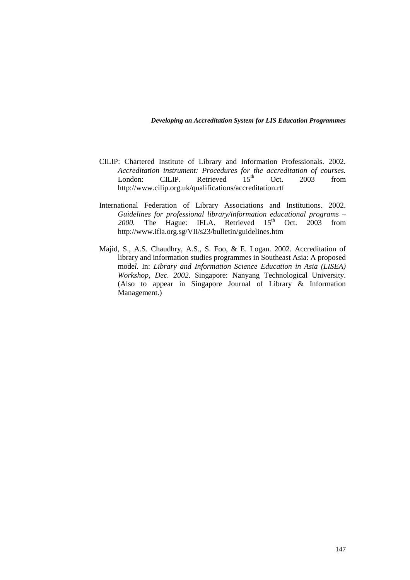- CILIP: Chartered Institute of Library and Information Professionals. 2002. *Accreditation instrument: Procedures for the accreditation of courses.*<br>
London: CILIP. Retrieved  $15<sup>th</sup>$  Oct. 2003 from London: CILIP. Retrieved  $15<sup>th</sup>$  Oct.  $2003$  from http://www.cilip.org.uk/qualifications/accreditation.rtf
- International Federation of Library Associations and Institutions. 2002. *Guidelines for professional library/information educational programs –*  2000. The Hague: IFLA. Retrieved 15<sup>th</sup> Oct. 2003 from http://www.ifla.org.sg/VII/s23/bulletin/guidelines.htm
- Majid, S., A.S. Chaudhry, A.S., S. Foo, & E. Logan. 2002. Accreditation of library and information studies programmes in Southeast Asia: A proposed mode*l.* In: *Library and Information Science Education in Asia (LISEA) Workshop, Dec. 2002*. Singapore: Nanyang Technological University. (Also to appear in Singapore Journal of Library & Information Management.)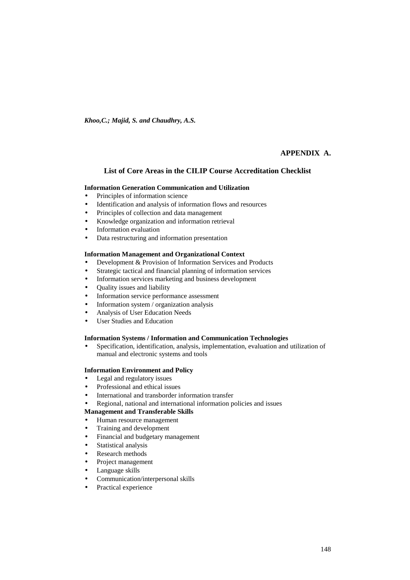# **APPENDIX A.**

#### **List of Core Areas in the CILIP Course Accreditation Checklist**

#### **Information Generation Communication and Utilization**

- Principles of information science
- Identification and analysis of information flows and resources
- Principles of collection and data management
- Knowledge organization and information retrieval
- Information evaluation
- Data restructuring and information presentation

#### **Information Management and Organizational Context**

- Development & Provision of Information Services and Products
- Strategic tactical and financial planning of information services
- Information services marketing and business development
- Quality issues and liability
- Information service performance assessment
- Information system / organization analysis
- Analysis of User Education Needs
- User Studies and Education

#### **Information Systems / Information and Communication Technologies**

• Specification, identification, analysis, implementation, evaluation and utilization of manual and electronic systems and tools

#### **Information Environment and Policy**

- Legal and regulatory issues
- Professional and ethical issues
- International and transborder information transfer
- Regional, national and international information policies and issues

#### **Management and Transferable Skills**

- Human resource management
- Training and development
- Financial and budgetary management
- Statistical analysis
- Research methods
- Project management
- Language skills
- Communication/interpersonal skills
- Practical experience